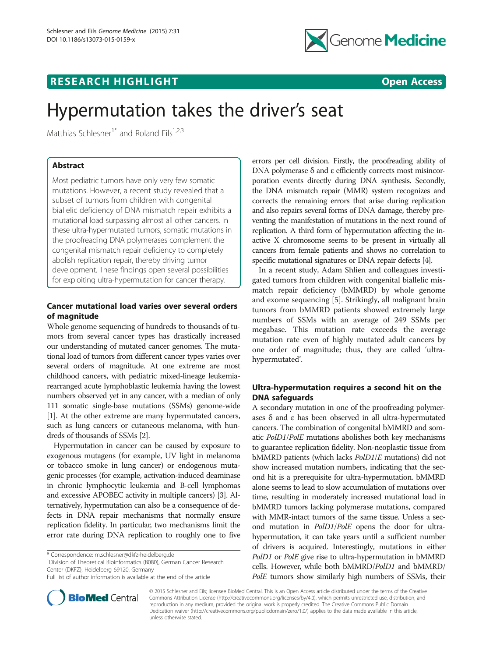

## **RESEARCH HIGHLIGHT CONSUMING THE OPEN ACCESS**



# Hypermutation takes the driver's seat

Matthias Schlesner<sup>1\*</sup> and Roland Eils<sup>1,2,3</sup>

## Abstract

Most pediatric tumors have only very few somatic mutations. However, a recent study revealed that a subset of tumors from children with congenital biallelic deficiency of DNA mismatch repair exhibits a mutational load surpassing almost all other cancers. In these ultra-hypermutated tumors, somatic mutations in the proofreading DNA polymerases complement the congenital mismatch repair deficiency to completely abolish replication repair, thereby driving tumor development. These findings open several possibilities for exploiting ultra-hypermutation for cancer therapy.

## Cancer mutational load varies over several orders of magnitude

Whole genome sequencing of hundreds to thousands of tumors from several cancer types has drastically increased our understanding of mutated cancer genomes. The mutational load of tumors from different cancer types varies over several orders of magnitude. At one extreme are most childhood cancers, with pediatric mixed-lineage leukemiarearranged acute lymphoblastic leukemia having the lowest numbers observed yet in any cancer, with a median of only 111 somatic single-base mutations (SSMs) genome-wide [[1](#page-2-0)]. At the other extreme are many hypermutated cancers, such as lung cancers or cutaneous melanoma, with hundreds of thousands of SSMs [\[2](#page-2-0)].

Hypermutation in cancer can be caused by exposure to exogenous mutagens (for example, UV light in melanoma or tobacco smoke in lung cancer) or endogenous mutagenic processes (for example, activation-induced deaminase in chronic lymphocytic leukemia and B-cell lymphomas and excessive APOBEC activity in multiple cancers) [\[3](#page-2-0)]. Alternatively, hypermutation can also be a consequence of defects in DNA repair mechanisms that normally ensure replication fidelity. In particular, two mechanisms limit the error rate during DNA replication to roughly one to five

<sup>1</sup> Division of Theoretical Bioinformatics (B080), German Cancer Research Center (DKFZ), Heidelberg 69120, Germany

Full list of author information is available at the end of the article



errors per cell division. Firstly, the proofreading ability of DNA polymerase δ and ε efficiently corrects most misincorporation events directly during DNA synthesis. Secondly, the DNA mismatch repair (MMR) system recognizes and corrects the remaining errors that arise during replication and also repairs several forms of DNA damage, thereby preventing the manifestation of mutations in the next round of replication. A third form of hypermutation affecting the inactive X chromosome seems to be present in virtually all cancers from female patients and shows no correlation to specific mutational signatures or DNA repair defects [\[4\]](#page-2-0).

In a recent study, Adam Shlien and colleagues investigated tumors from children with congenital biallelic mismatch repair deficiency (bMMRD) by whole genome and exome sequencing [\[5](#page-2-0)]. Strikingly, all malignant brain tumors from bMMRD patients showed extremely large numbers of SSMs with an average of 249 SSMs per megabase. This mutation rate exceeds the average mutation rate even of highly mutated adult cancers by one order of magnitude; thus, they are called 'ultrahypermutated'.

## Ultra-hypermutation requires a second hit on the DNA safeguards

A secondary mutation in one of the proofreading polymerases  $δ$  and  $ε$  has been observed in all ultra-hypermutated cancers. The combination of congenital bMMRD and somatic PolD1/PolE mutations abolishes both key mechanisms to guarantee replication fidelity. Non-neoplastic tissue from bMMRD patients (which lacks PolD1/E mutations) did not show increased mutation numbers, indicating that the second hit is a prerequisite for ultra-hypermutation. bMMRD alone seems to lead to slow accumulation of mutations over time, resulting in moderately increased mutational load in bMMRD tumors lacking polymerase mutations, compared with MMR-intact tumors of the same tissue. Unless a second mutation in PolD1/PolE opens the door for ultrahypermutation, it can take years until a sufficient number of drivers is acquired. Interestingly, mutations in either PolD1 or PolE give rise to ultra-hypermutation in bMMRD cells. However, while both bMMRD/PolD1 and bMMRD/ PolE tumors show similarly high numbers of SSMs, their

© 2015 Schlesner and Eils; licensee BioMed Central. This is an Open Access article distributed under the terms of the Creative Commons Attribution License [\(http://creativecommons.org/licenses/by/4.0\)](http://creativecommons.org/licenses/by/4.0), which permits unrestricted use, distribution, and reproduction in any medium, provided the original work is properly credited. The Creative Commons Public Domain Dedication waiver [\(http://creativecommons.org/publicdomain/zero/1.0/](http://creativecommons.org/publicdomain/zero/1.0/)) applies to the data made available in this article, unless otherwise stated.

<sup>\*</sup> Correspondence: [m.schlesner@dkfz-heidelberg.de](mailto:m.schlesner@dkfz-heidelberg.de) <sup>1</sup>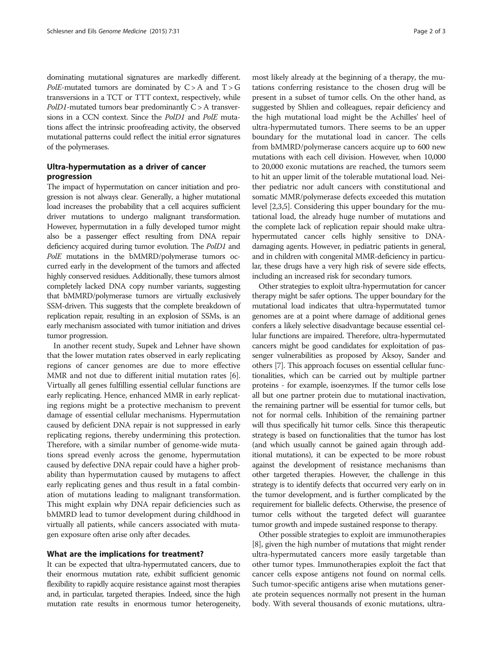dominating mutational signatures are markedly different. PolE-mutated tumors are dominated by  $C > A$  and  $T > G$ transversions in a TCT or TTT context, respectively, while  $PolD1$ -mutated tumors bear predominantly  $C > A$  transversions in a CCN context. Since the PolD1 and PolE mutations affect the intrinsic proofreading activity, the observed mutational patterns could reflect the initial error signatures of the polymerases.

## Ultra-hypermutation as a driver of cancer progression

The impact of hypermutation on cancer initiation and progression is not always clear. Generally, a higher mutational load increases the probability that a cell acquires sufficient driver mutations to undergo malignant transformation. However, hypermutation in a fully developed tumor might also be a passenger effect resulting from DNA repair deficiency acquired during tumor evolution. The PolD1 and PolE mutations in the bMMRD/polymerase tumors occurred early in the development of the tumors and affected highly conserved residues. Additionally, these tumors almost completely lacked DNA copy number variants, suggesting that bMMRD/polymerase tumors are virtually exclusively SSM-driven. This suggests that the complete breakdown of replication repair, resulting in an explosion of SSMs, is an early mechanism associated with tumor initiation and drives tumor progression.

In another recent study, Supek and Lehner have shown that the lower mutation rates observed in early replicating regions of cancer genomes are due to more effective MMR and not due to different initial mutation rates [[6](#page-2-0)]. Virtually all genes fulfilling essential cellular functions are early replicating. Hence, enhanced MMR in early replicating regions might be a protective mechanism to prevent damage of essential cellular mechanisms. Hypermutation caused by deficient DNA repair is not suppressed in early replicating regions, thereby undermining this protection. Therefore, with a similar number of genome-wide mutations spread evenly across the genome, hypermutation caused by defective DNA repair could have a higher probability than hypermutation caused by mutagens to affect early replicating genes and thus result in a fatal combination of mutations leading to malignant transformation. This might explain why DNA repair deficiencies such as bMMRD lead to tumor development during childhood in virtually all patients, while cancers associated with mutagen exposure often arise only after decades.

### What are the implications for treatment?

It can be expected that ultra-hypermutated cancers, due to their enormous mutation rate, exhibit sufficient genomic flexibility to rapidly acquire resistance against most therapies and, in particular, targeted therapies. Indeed, since the high mutation rate results in enormous tumor heterogeneity,

most likely already at the beginning of a therapy, the mutations conferring resistance to the chosen drug will be present in a subset of tumor cells. On the other hand, as suggested by Shlien and colleagues, repair deficiency and the high mutational load might be the Achilles' heel of ultra-hypermutated tumors. There seems to be an upper boundary for the mutational load in cancer. The cells from bMMRD/polymerase cancers acquire up to 600 new mutations with each cell division. However, when 10,000 to 20,000 exonic mutations are reached, the tumors seem to hit an upper limit of the tolerable mutational load. Neither pediatric nor adult cancers with constitutional and somatic MMR/polymerase defects exceeded this mutation level [[2,3,5](#page-2-0)]. Considering this upper boundary for the mutational load, the already huge number of mutations and the complete lack of replication repair should make ultrahypermutated cancer cells highly sensitive to DNAdamaging agents. However, in pediatric patients in general, and in children with congenital MMR-deficiency in particular, these drugs have a very high risk of severe side effects, including an increased risk for secondary tumors.

Other strategies to exploit ultra-hypermutation for cancer therapy might be safer options. The upper boundary for the mutational load indicates that ultra-hypermutated tumor genomes are at a point where damage of additional genes confers a likely selective disadvantage because essential cellular functions are impaired. Therefore, ultra-hypermutated cancers might be good candidates for exploitation of passenger vulnerabilities as proposed by Aksoy, Sander and others [\[7\]](#page-2-0). This approach focuses on essential cellular functionalities, which can be carried out by multiple partner proteins - for example, isoenzymes. If the tumor cells lose all but one partner protein due to mutational inactivation, the remaining partner will be essential for tumor cells, but not for normal cells. Inhibition of the remaining partner will thus specifically hit tumor cells. Since this therapeutic strategy is based on functionalities that the tumor has lost (and which usually cannot be gained again through additional mutations), it can be expected to be more robust against the development of resistance mechanisms than other targeted therapies. However, the challenge in this strategy is to identify defects that occurred very early on in the tumor development, and is further complicated by the requirement for biallelic defects. Otherwise, the presence of tumor cells without the targeted defect will guarantee tumor growth and impede sustained response to therapy.

Other possible strategies to exploit are immunotherapies [[8\]](#page-2-0), given the high number of mutations that might render ultra-hypermutated cancers more easily targetable than other tumor types. Immunotherapies exploit the fact that cancer cells expose antigens not found on normal cells. Such tumor-specific antigens arise when mutations generate protein sequences normally not present in the human body. With several thousands of exonic mutations, ultra